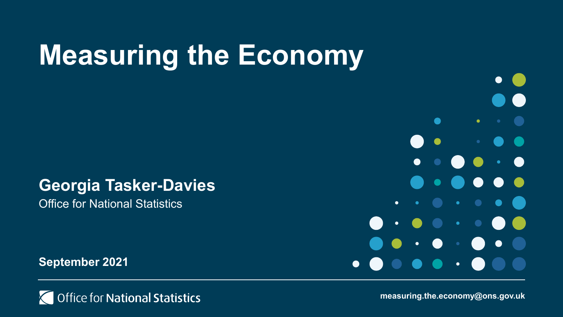# **Measuring the Economy**

### **Georgia Tasker-Davies**

Office for National Statistics

**September 2021**





**measuring.the.economy@ons.gov.uk**

 $\bullet$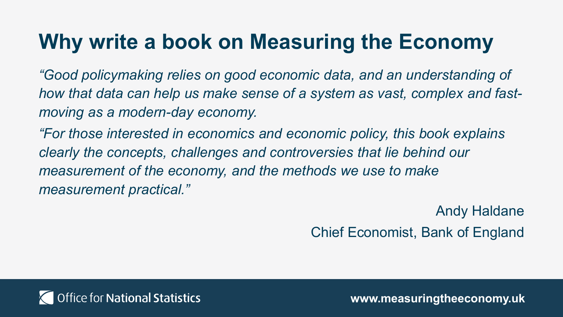### **Why write a book on Measuring the Economy**

*"Good policymaking relies on good economic data, and an understanding of how that data can help us make sense of a system as vast, complex and fastmoving as a modern-day economy.*

*"For those interested in economics and economic policy, this book explains clearly the concepts, challenges and controversies that lie behind our measurement of the economy, and the methods we use to make measurement practical."*

> Andy Haldane Chief Economist, Bank of England

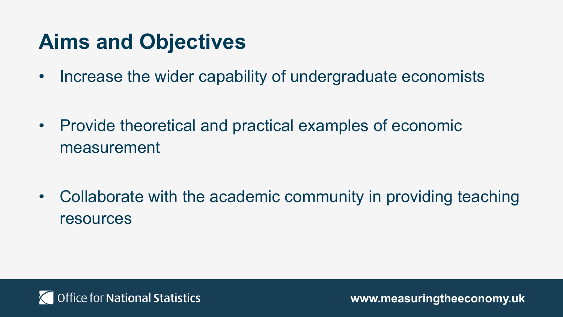### **Aims and Objectives**

• Increase the wider capability of undergraduate economists

• Provide theoretical and practical examples of economic measurement

• Collaborate with the academic community in providing teaching resources

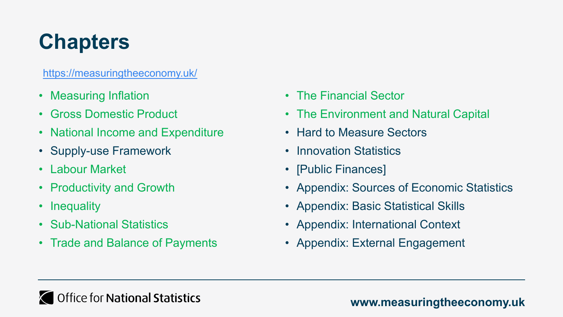### **Chapters**

<https://measuringtheeconomy.uk/>

- Measuring Inflation
- Gross Domestic Product
- National Income and Expenditure
- Supply-use Framework
- Labour Market
- Productivity and Growth
- Inequality
- Sub-National Statistics
- Trade and Balance of Payments
- The Financial Sector
- The Environment and Natural Capital
- Hard to Measure Sectors
- Innovation Statistics
- [Public Finances]
- Appendix: Sources of Economic Statistics
- Appendix: Basic Statistical Skills
- Appendix: International Context
- Appendix: External Engagement

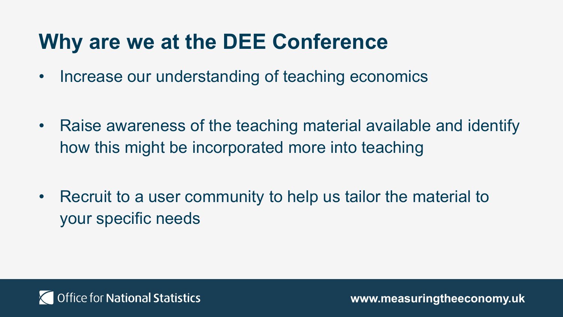### **Why are we at the DEE Conference**

- Increase our understanding of teaching economics
- Raise awareness of the teaching material available and identify how this might be incorporated more into teaching
- Recruit to a user community to help us tailor the material to your specific needs

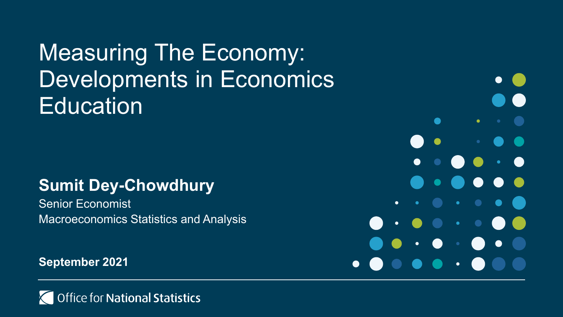Measuring The Economy: Developments in Economics **Education** 

#### **Sumit Dey-Chowdhury**

Senior Economist Macroeconomics Statistics and Analysis

**September 2021**



 $\bullet$  $\bullet$  $\bullet$  $\bullet$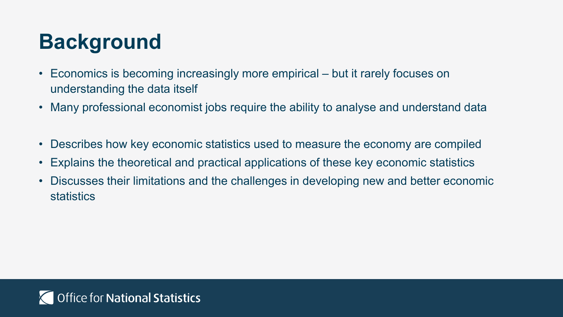### **Background**

- Economics is becoming increasingly more empirical but it rarely focuses on understanding the data itself
- Many professional economist jobs require the ability to analyse and understand data
- Describes how key economic statistics used to measure the economy are compiled
- Explains the theoretical and practical applications of these key economic statistics
- Discusses their limitations and the challenges in developing new and better economic statistics

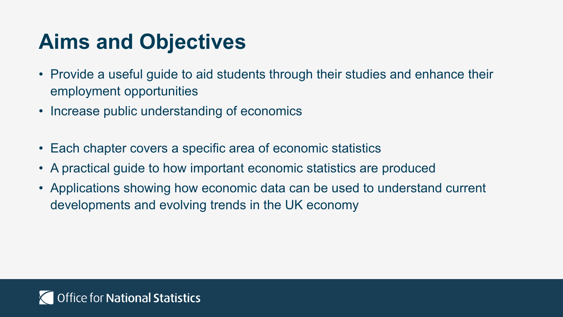### **Aims and Objectives**

- Provide a useful guide to aid students through their studies and enhance their employment opportunities
- Increase public understanding of economics
- Each chapter covers a specific area of economic statistics
- A practical guide to how important economic statistics are produced
- Applications showing how economic data can be used to understand current developments and evolving trends in the UK economy

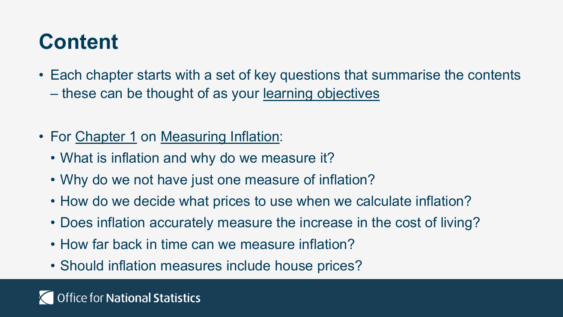### **Content**

- Each chapter starts with a set of key questions that summarise the contents – these can be thought of as your learning objectives
- For Chapter 1 on Measuring Inflation:
	- What is inflation and why do we measure it?
	- Why do we not have just one measure of inflation?
	- How do we decide what prices to use when we calculate inflation?
	- Does inflation accurately measure the increase in the cost of living?
	- How far back in time can we measure inflation?
	- Should inflation measures include house prices?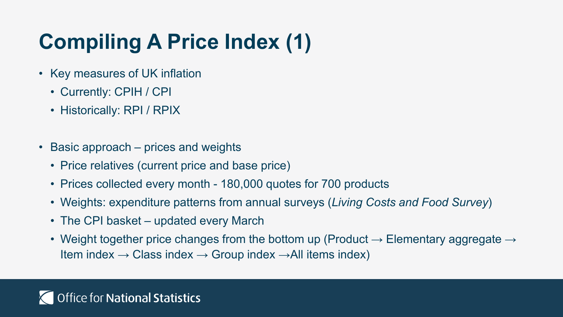### **Compiling A Price Index (1)**

- Key measures of UK inflation
	- Currently: CPIH / CPI
	- Historically: RPI / RPIX
- Basic approach prices and weights
	- Price relatives (current price and base price)
	- Prices collected every month 180,000 quotes for 700 products
	- Weights: expenditure patterns from annual surveys (*Living Costs and Food Survey*)
	- The CPI basket updated every March
	- Weight together price changes from the bottom up (Product  $\rightarrow$  Elementary aggregate  $\rightarrow$ Item index  $\rightarrow$  Class index  $\rightarrow$  Group index  $\rightarrow$  All items index)

#### Office for National Statistics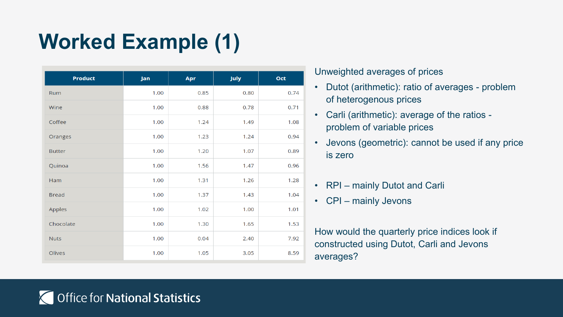### **Worked Example (1)**

| <b>Product</b> | Jan  | Apr  | July | Oct  |
|----------------|------|------|------|------|
| Rum            | 1.00 | 0.85 | 0.80 | 0.74 |
| Wine           | 1.00 | 0.88 | 0.78 | 0.71 |
| Coffee         | 1.00 | 1.24 | 1.49 | 1.08 |
| Oranges        | 1.00 | 1.23 | 1.24 | 0.94 |
| <b>Butter</b>  | 1.00 | 1.20 | 1.07 | 0.89 |
| Quinoa         | 1.00 | 1.56 | 1.47 | 0.96 |
| Ham            | 1.00 | 1.31 | 1.26 | 1.28 |
| <b>Bread</b>   | 1.00 | 1.37 | 1.43 | 1.04 |
| Apples         | 1.00 | 1.02 | 1.00 | 1.01 |
| Chocolate      | 1.00 | 1.30 | 1.65 | 1.53 |
| <b>Nuts</b>    | 1.00 | 0.04 | 2.40 | 7.92 |
| Olives         | 1.00 | 1.05 | 3.05 | 8.59 |

#### Unweighted averages of prices

- Dutot (arithmetic): ratio of averages problem of heterogenous prices
- Carli (arithmetic): average of the ratios problem of variable prices
- Jevons (geometric): cannot be used if any price is zero
- RPI mainly Dutot and Carli
- CPI mainly Jevons

How would the quarterly price indices look if constructed using Dutot, Carli and Jevons averages?

#### **Office for National Statistics**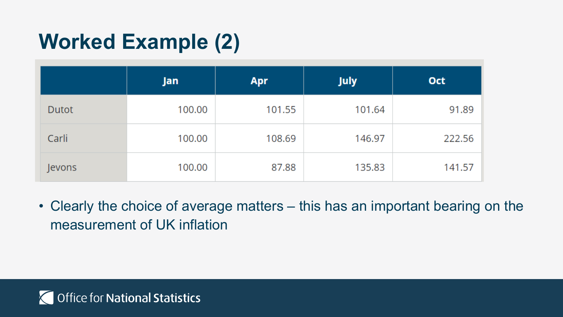### **Worked Example (2)**

|        | Jan    | <b>Apr</b> | <b>July</b> | <b>Oct</b> |
|--------|--------|------------|-------------|------------|
| Dutot  | 100.00 | 101.55     | 101.64      | 91.89      |
| Carli  | 100.00 | 108.69     | 146.97      | 222.56     |
| Jevons | 100.00 | 87.88      | 135.83      | 141.57     |

• Clearly the choice of average matters – this has an important bearing on the measurement of UK inflation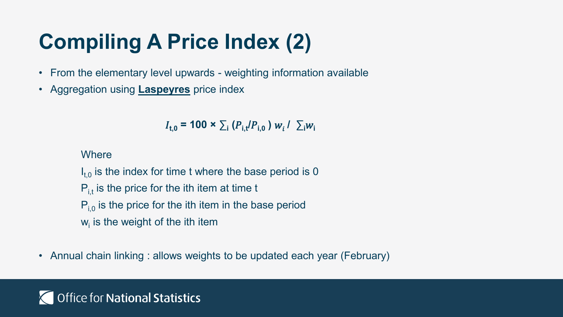### **Compiling A Price Index (2)**

- From the elementary level upwards weighting information available
- Aggregation using **Laspeyres** price index

 $I_{\text{t,0}}$  = 100 ×  $\sum_{i} (P_{\text{i,t}}/P_{\text{i,0}}) w_i / \sum_{i} w_i$ 

**Where** 

 $I_{t,0}$  is the index for time t where the base period is 0  $P_{i,t}$  is the price for the ith item at time t  $P_{i,0}$  is the price for the ith item in the base period  $w_i$  is the weight of the ith item

• Annual chain linking : allows weights to be updated each year (February)

#### **Office for National Statistics**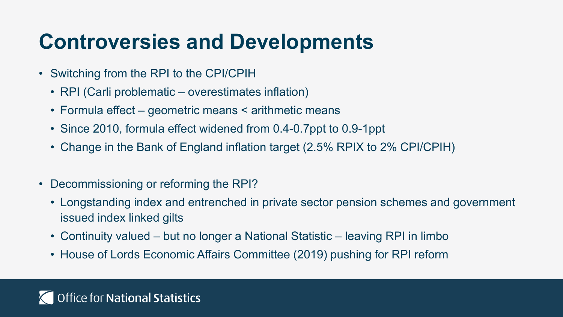### **Controversies and Developments**

- Switching from the RPI to the CPI/CPIH
	- RPI (Carli problematic overestimates inflation)
	- Formula effect geometric means < arithmetic means
	- Since 2010, formula effect widened from 0.4-0.7ppt to 0.9-1ppt
	- Change in the Bank of England inflation target (2.5% RPIX to 2% CPI/CPIH)
- Decommissioning or reforming the RPI?
	- Longstanding index and entrenched in private sector pension schemes and government issued index linked gilts
	- Continuity valued but no longer a National Statistic leaving RPI in limbo
	- House of Lords Economic Affairs Committee (2019) pushing for RPI reform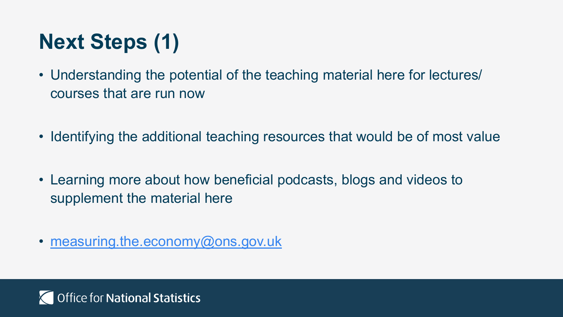### **Next Steps (1)**

- Understanding the potential of the teaching material here for lectures/ courses that are run now
- Identifying the additional teaching resources that would be of most value
- Learning more about how beneficial podcasts, blogs and videos to supplement the material here
- [measuring.the.economy@ons.gov.uk](mailto:measuring.the.economy@ons.gov.uk)